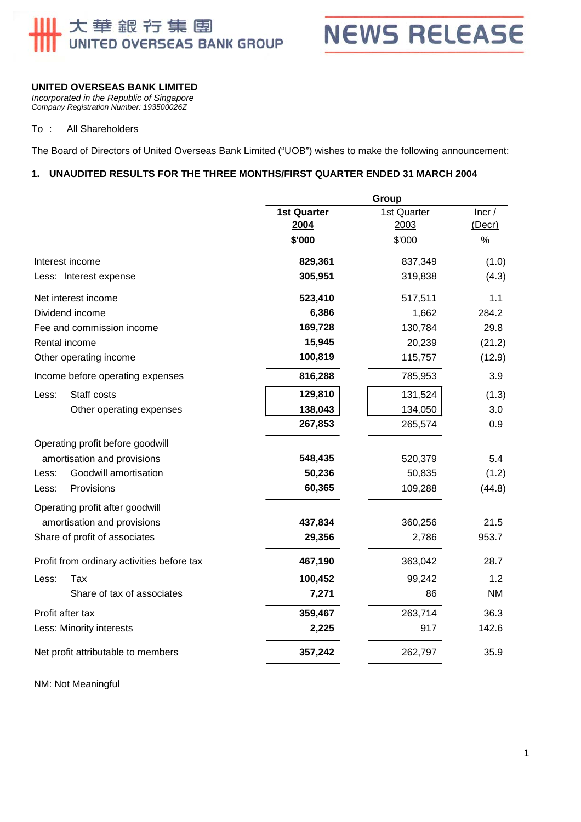## 上大華銀行集團 UNITED OVERSEAS BANK GROUP

**NEWS RELEASE** 

#### **UNITED OVERSEAS BANK LIMITED**

*Incorporated in the Republic of Singapore Company Registration Number: 193500026Z* 

#### To : All Shareholders

The Board of Directors of United Overseas Bank Limited ("UOB") wishes to make the following announcement:

#### **1. UNAUDITED RESULTS FOR THE THREE MONTHS/FIRST QUARTER ENDED 31 MARCH 2004**

|                                    |                                            | Group                      |                     |                       |
|------------------------------------|--------------------------------------------|----------------------------|---------------------|-----------------------|
|                                    |                                            | <b>1st Quarter</b><br>2004 | 1st Quarter<br>2003 | Incr/<br>$($ Decr $)$ |
|                                    |                                            | \$'000                     | \$'000              | $\%$                  |
|                                    | Interest income                            | 829,361                    | 837,349             | (1.0)                 |
|                                    | Less: Interest expense                     | 305,951                    | 319,838             | (4.3)                 |
|                                    | Net interest income                        | 523,410                    | 517,511             | 1.1                   |
|                                    | Dividend income                            | 6,386                      | 1,662               | 284.2                 |
|                                    | Fee and commission income                  | 169,728                    | 130,784             | 29.8                  |
|                                    | Rental income                              | 15,945                     | 20,239              | (21.2)                |
|                                    | Other operating income                     | 100,819                    | 115,757             | (12.9)                |
|                                    | Income before operating expenses           | 816,288                    | 785,953             | 3.9                   |
| Less:                              | Staff costs                                | 129,810                    | 131,524             | (1.3)                 |
|                                    | Other operating expenses                   | 138,043                    | 134,050             | 3.0                   |
|                                    |                                            | 267,853                    | 265,574             | 0.9                   |
|                                    | Operating profit before goodwill           |                            |                     |                       |
|                                    | amortisation and provisions                | 548,435                    | 520,379             | 5.4                   |
| Less:                              | Goodwill amortisation                      | 50,236                     | 50,835              | (1.2)                 |
| Less:                              | Provisions                                 | 60,365                     | 109,288             | (44.8)                |
|                                    | Operating profit after goodwill            |                            |                     |                       |
|                                    | amortisation and provisions                | 437,834                    | 360,256             | 21.5                  |
|                                    | Share of profit of associates              | 29,356                     | 2,786               | 953.7                 |
|                                    | Profit from ordinary activities before tax | 467,190                    | 363,042             | 28.7                  |
| Less:                              | Tax                                        | 100,452                    | 99,242              | 1.2                   |
|                                    | Share of tax of associates                 | 7,271                      | 86                  | NM                    |
| Profit after tax                   |                                            | 359,467                    | 263,714             | 36.3                  |
| Less: Minority interests           |                                            | 2,225                      | 917                 | 142.6                 |
| Net profit attributable to members |                                            | 357,242                    | 262,797             | 35.9                  |
|                                    |                                            |                            |                     |                       |

NM: Not Meaningful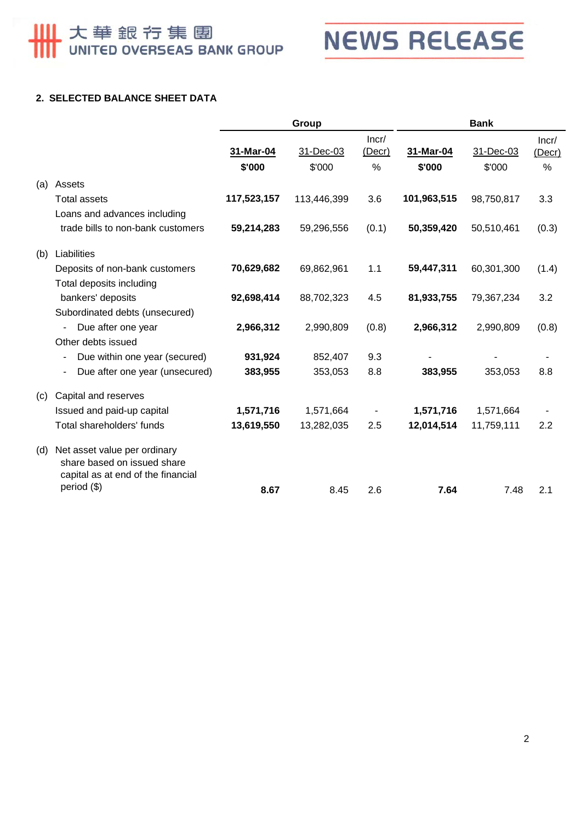# **Ⅲ 大華銀行集團**



#### **2. SELECTED BALANCE SHEET DATA**

|     |                                                                                                   | Group       |             | <b>Bank</b>     |             |            |                 |
|-----|---------------------------------------------------------------------------------------------------|-------------|-------------|-----------------|-------------|------------|-----------------|
|     |                                                                                                   | 31-Mar-04   | 31-Dec-03   | Incr/<br>(Decr) | 31-Mar-04   | 31-Dec-03  | Incr/<br>(Decr) |
|     |                                                                                                   | \$'000      | \$'000      | $\%$            | \$'000      | \$'000     | $\%$            |
| (a) | Assets                                                                                            |             |             |                 |             |            |                 |
|     | <b>Total assets</b>                                                                               | 117,523,157 | 113,446,399 | 3.6             | 101,963,515 | 98,750,817 | 3.3             |
|     | Loans and advances including                                                                      |             |             |                 |             |            |                 |
|     | trade bills to non-bank customers                                                                 | 59,214,283  | 59,296,556  | (0.1)           | 50,359,420  | 50,510,461 | (0.3)           |
| (b) | Liabilities                                                                                       |             |             |                 |             |            |                 |
|     | Deposits of non-bank customers                                                                    | 70,629,682  | 69,862,961  | 1.1             | 59,447,311  | 60,301,300 | (1.4)           |
|     | Total deposits including                                                                          |             |             |                 |             |            |                 |
|     | bankers' deposits                                                                                 | 92,698,414  | 88,702,323  | 4.5             | 81,933,755  | 79,367,234 | 3.2             |
|     | Subordinated debts (unsecured)                                                                    |             |             |                 |             |            |                 |
|     | Due after one year<br>$\overline{\phantom{0}}$                                                    | 2,966,312   | 2,990,809   | (0.8)           | 2,966,312   | 2,990,809  | (0.8)           |
|     | Other debts issued                                                                                |             |             |                 |             |            |                 |
|     | Due within one year (secured)<br>$\overline{\phantom{0}}$                                         | 931,924     | 852,407     | 9.3             |             |            |                 |
|     | Due after one year (unsecured)<br>$\overline{\phantom{a}}$                                        | 383,955     | 353,053     | 8.8             | 383,955     | 353,053    | 8.8             |
| (c) | Capital and reserves                                                                              |             |             |                 |             |            |                 |
|     | Issued and paid-up capital                                                                        | 1,571,716   | 1,571,664   |                 | 1,571,716   | 1,571,664  |                 |
|     | Total shareholders' funds                                                                         | 13,619,550  | 13,282,035  | 2.5             | 12,014,514  | 11,759,111 | 2.2             |
| (d) | Net asset value per ordinary<br>share based on issued share<br>capital as at end of the financial |             |             |                 |             |            |                 |
|     | period (\$)                                                                                       | 8.67        | 8.45        | 2.6             | 7.64        | 7.48       | 2.1             |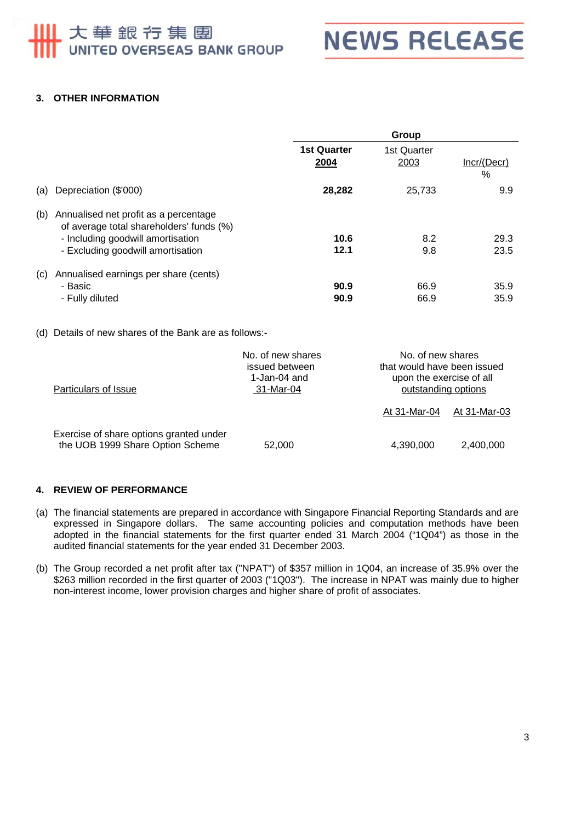## 大華銀行集團 UNITED OVERSEAS BANK GROUP



#### **3. OTHER INFORMATION**

|     |                                                                                                                        | Group                      |                     |                     |
|-----|------------------------------------------------------------------------------------------------------------------------|----------------------------|---------------------|---------------------|
|     |                                                                                                                        | <b>1st Quarter</b><br>2004 | 1st Quarter<br>2003 | Incr/(Decr)<br>$\%$ |
| (a) | Depreciation (\$'000)                                                                                                  | 28,282                     | 25,733              | 9.9                 |
| (b) | Annualised net profit as a percentage<br>of average total shareholders' funds (%)<br>- Including goodwill amortisation | 10.6                       | 8.2                 | 29.3                |
|     | - Excluding goodwill amortisation                                                                                      | 12.1                       | 9.8                 | 23.5                |
| (c) | Annualised earnings per share (cents)                                                                                  |                            |                     |                     |
|     | - Basic                                                                                                                | 90.9                       | 66.9                | 35.9                |
|     | - Fully diluted                                                                                                        | 90.9                       | 66.9                | 35.9                |

#### (d) Details of new shares of the Bank are as follows:-

| Particulars of Issue                                                        | No. of new shares<br>issued between<br>1-Jan-04 and<br>31-Mar-04 | No. of new shares<br>that would have been issued<br>upon the exercise of all<br>outstanding options |              |
|-----------------------------------------------------------------------------|------------------------------------------------------------------|-----------------------------------------------------------------------------------------------------|--------------|
|                                                                             |                                                                  | At 31-Mar-04                                                                                        | At 31-Mar-03 |
| Exercise of share options granted under<br>the UOB 1999 Share Option Scheme | 52,000                                                           | 4,390,000                                                                                           | 2,400,000    |

#### **4. REVIEW OF PERFORMANCE**

- (a) The financial statements are prepared in accordance with Singapore Financial Reporting Standards and are expressed in Singapore dollars. The same accounting policies and computation methods have been adopted in the financial statements for the first quarter ended 31 March 2004 ("1Q04") as those in the audited financial statements for the year ended 31 December 2003.
- (b) The Group recorded a net profit after tax ("NPAT") of \$357 million in 1Q04, an increase of 35.9% over the \$263 million recorded in the first quarter of 2003 ("1Q03"). The increase in NPAT was mainly due to higher non-interest income, lower provision charges and higher share of profit of associates.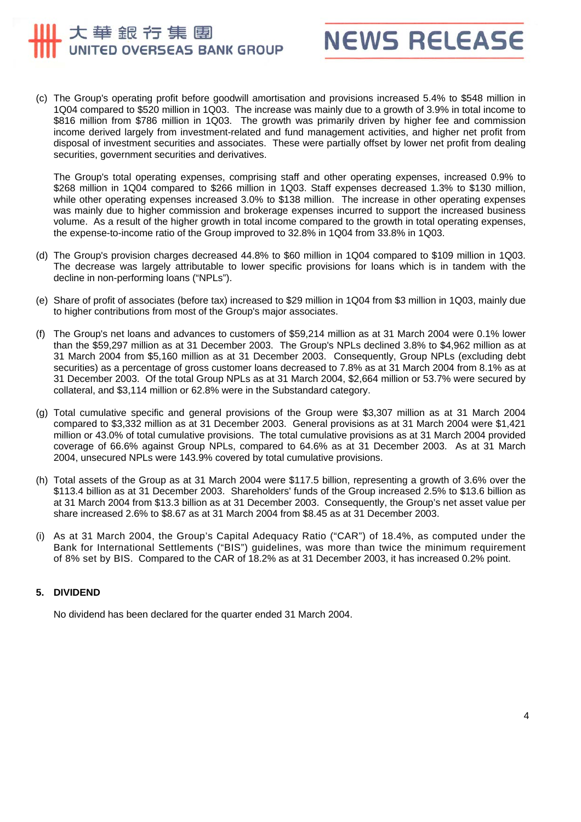### 大華銀行集團 UNITED OVERSEAS BANK GROUP



(c) The Group's operating profit before goodwill amortisation and provisions increased 5.4% to \$548 million in 1Q04 compared to \$520 million in 1Q03. The increase was mainly due to a growth of 3.9% in total income to \$816 million from \$786 million in 1Q03. The growth was primarily driven by higher fee and commission income derived largely from investment-related and fund management activities, and higher net profit from disposal of investment securities and associates. These were partially offset by lower net profit from dealing securities, government securities and derivatives.

The Group's total operating expenses, comprising staff and other operating expenses, increased 0.9% to \$268 million in 1Q04 compared to \$266 million in 1Q03. Staff expenses decreased 1.3% to \$130 million, while other operating expenses increased 3.0% to \$138 million. The increase in other operating expenses was mainly due to higher commission and brokerage expenses incurred to support the increased business volume. As a result of the higher growth in total income compared to the growth in total operating expenses, the expense-to-income ratio of the Group improved to 32.8% in 1Q04 from 33.8% in 1Q03.

- (d) The Group's provision charges decreased 44.8% to \$60 million in 1Q04 compared to \$109 million in 1Q03. The decrease was largely attributable to lower specific provisions for loans which is in tandem with the decline in non-performing loans ("NPLs").
- (e) Share of profit of associates (before tax) increased to \$29 million in 1Q04 from \$3 million in 1Q03, mainly due to higher contributions from most of the Group's major associates.
- (f) The Group's net loans and advances to customers of \$59,214 million as at 31 March 2004 were 0.1% lower than the \$59,297 million as at 31 December 2003. The Group's NPLs declined 3.8% to \$4,962 million as at 31 March 2004 from \$5,160 million as at 31 December 2003. Consequently, Group NPLs (excluding debt securities) as a percentage of gross customer loans decreased to 7.8% as at 31 March 2004 from 8.1% as at 31 December 2003. Of the total Group NPLs as at 31 March 2004, \$2,664 million or 53.7% were secured by collateral, and \$3,114 million or 62.8% were in the Substandard category.
- (g) Total cumulative specific and general provisions of the Group were \$3,307 million as at 31 March 2004 compared to \$3,332 million as at 31 December 2003. General provisions as at 31 March 2004 were \$1,421 million or 43.0% of total cumulative provisions. The total cumulative provisions as at 31 March 2004 provided coverage of 66.6% against Group NPLs, compared to 64.6% as at 31 December 2003. As at 31 March 2004, unsecured NPLs were 143.9% covered by total cumulative provisions.
- (h) Total assets of the Group as at 31 March 2004 were \$117.5 billion, representing a growth of 3.6% over the \$113.4 billion as at 31 December 2003. Shareholders' funds of the Group increased 2.5% to \$13.6 billion as at 31 March 2004 from \$13.3 billion as at 31 December 2003. Consequently, the Group's net asset value per share increased 2.6% to \$8.67 as at 31 March 2004 from \$8.45 as at 31 December 2003.
- (i) As at 31 March 2004, the Group's Capital Adequacy Ratio ("CAR") of 18.4%, as computed under the Bank for International Settlements ("BIS") guidelines, was more than twice the minimum requirement of 8% set by BIS. Compared to the CAR of 18.2% as at 31 December 2003, it has increased 0.2% point.

#### **5. DIVIDEND**

No dividend has been declared for the quarter ended 31 March 2004.